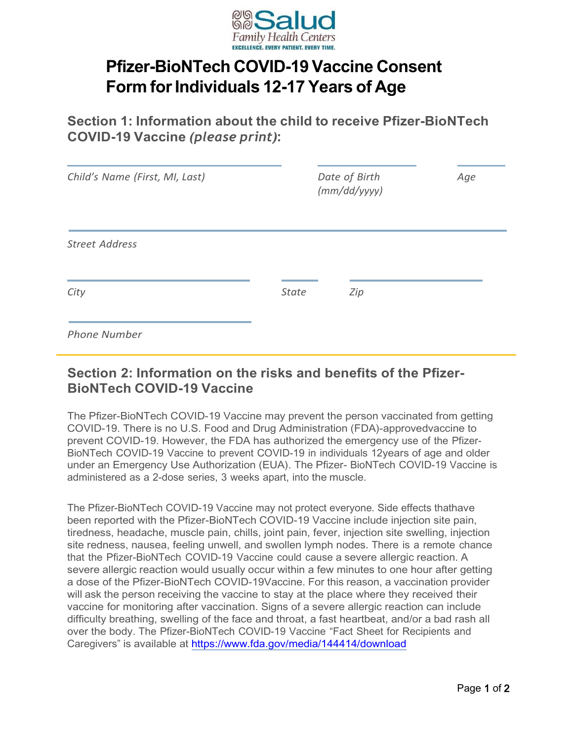

## **Pfizer-BioNTech COVID-19 Vaccine Consent Form** for Individuals 12-17 Years of Age

**Section 1: Information about the child to receive Pfizer-BioNTech COVID-19 Vaccine** *(please print)*:

| Child's Name (First, MI, Last) | Date of Birth<br>(mm/dd/yyyy) | Age |
|--------------------------------|-------------------------------|-----|
| <b>Street Address</b>          |                               |     |
| City                           | <b>State</b><br>Zip           |     |
| <b>Phone Number</b>            |                               |     |

## **Section 2: Information on the risks and benefits of the Pfizer-BioNTech COVID-19 Vaccine**

The Pfizer-BioNTech COVID-19 Vaccine may prevent the person vaccinated from getting COVID-19. There is no U.S. Food and Drug Administration (FDA)-approvedvaccine to prevent COVID-19. However, the FDA has authorized the emergency use of the Pfizer-BioNTech COVID-19 Vaccine to prevent COVID-19 in individuals 12years of age and older under an Emergency Use Authorization (EUA). The Pfizer- BioNTech COVID-19 Vaccine is administered as a 2-dose series, 3 weeks apart, into the muscle.

The Pfizer-BioNTech COVID-19 Vaccine may not protect everyone. Side effects thathave been reported with the Pfizer-BioNTech COVID-19 Vaccine include injection site pain, tiredness, headache, muscle pain, chills, joint pain, fever, injection site swelling, injection site redness, nausea, feeling unwell, and swollen lymph nodes. There is a remote chance that the Pfizer-BioNTech COVID-19 Vaccine could cause a severe allergic reaction. A severe allergic reaction would usually occur within a few minutes to one hour after getting a dose of the Pfizer-BioNTech COVID-19Vaccine. For this reason, a vaccination provider will ask the person receiving the vaccine to stay at the place where they received their vaccine for monitoring after vaccination. Signs of a severe allergic reaction can include difficulty breathing, swelling of the face and throat, a fast heartbeat, and/or a bad rash all over the body. The Pfizer-BioNTech COVID-19 Vaccine "Fact Sheet for Recipients and Caregivers" is available at <https://www.fda.gov/media/144414/download>